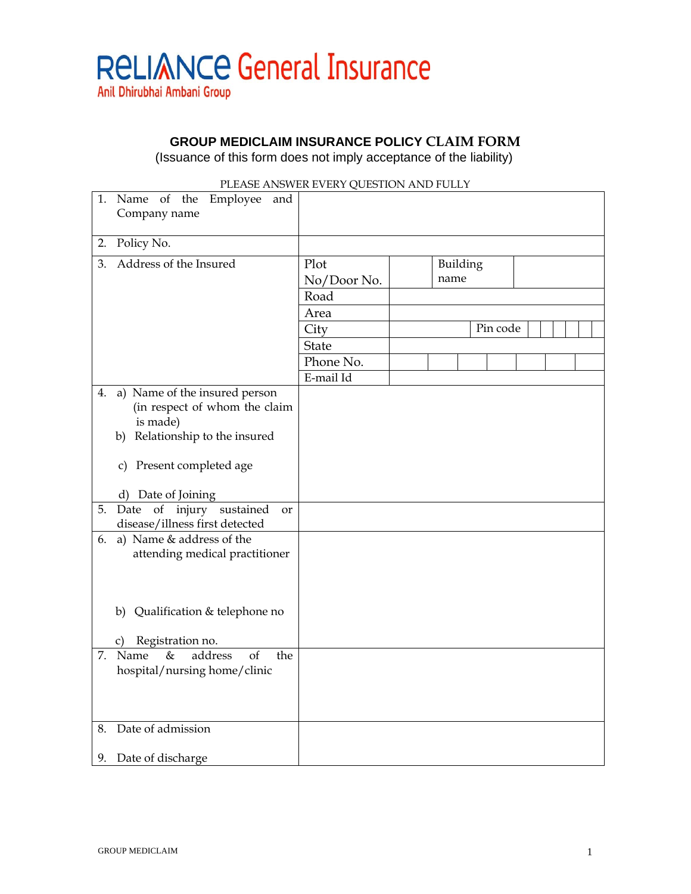

**GROUP MEDICLAIM INSURANCE POLICY CLAIM FORM**

(Issuance of this form does not imply acceptance of the liability)

|    | 1. Name of the Employee and<br>Company name                                                                  |                     |                  |          |  |
|----|--------------------------------------------------------------------------------------------------------------|---------------------|------------------|----------|--|
| 2. | Policy No.                                                                                                   |                     |                  |          |  |
| 3. | Address of the Insured                                                                                       | Plot<br>No/Door No. | Building<br>name |          |  |
|    |                                                                                                              | Road                |                  |          |  |
|    |                                                                                                              | Area                |                  |          |  |
|    |                                                                                                              | City                |                  | Pin code |  |
|    |                                                                                                              | <b>State</b>        |                  |          |  |
|    |                                                                                                              | Phone No.           |                  |          |  |
|    |                                                                                                              | E-mail Id           |                  |          |  |
| 4. | a) Name of the insured person<br>(in respect of whom the claim<br>is made)<br>b) Relationship to the insured |                     |                  |          |  |
|    | c) Present completed age                                                                                     |                     |                  |          |  |
|    | d) Date of Joining                                                                                           |                     |                  |          |  |
| 5. | Date of injury sustained<br>or<br>disease/illness first detected                                             |                     |                  |          |  |
| 6. | a) Name & address of the<br>attending medical practitioner                                                   |                     |                  |          |  |
|    | b) Qualification & telephone no                                                                              |                     |                  |          |  |
|    | Registration no.<br>C)                                                                                       |                     |                  |          |  |
|    | 7. Name<br>address<br>$\&$<br>of<br>the<br>hospital/nursing home/clinic                                      |                     |                  |          |  |
| 8. | Date of admission                                                                                            |                     |                  |          |  |
| 9. | Date of discharge                                                                                            |                     |                  |          |  |

## PLEASE ANSWER EVERY QUESTION AND FULLY